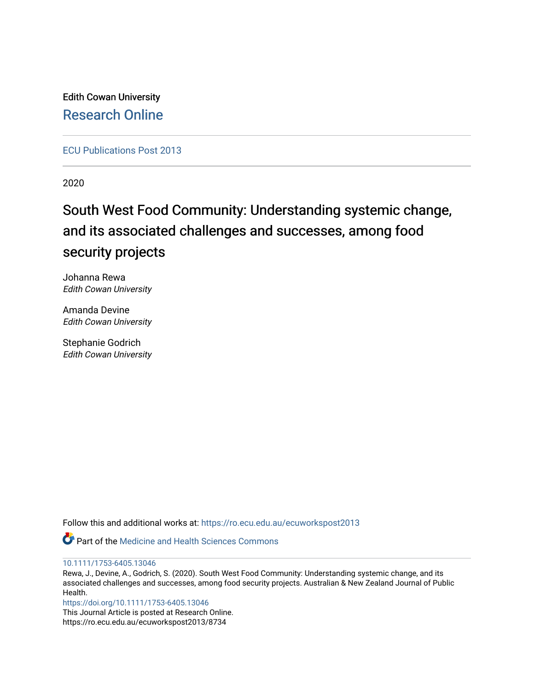Edith Cowan University [Research Online](https://ro.ecu.edu.au/) 

[ECU Publications Post 2013](https://ro.ecu.edu.au/ecuworkspost2013)

2020

## South West Food Community: Understanding systemic change, and its associated challenges and successes, among food security projects

Johanna Rewa Edith Cowan University

Amanda Devine Edith Cowan University

Stephanie Godrich Edith Cowan University

Follow this and additional works at: [https://ro.ecu.edu.au/ecuworkspost2013](https://ro.ecu.edu.au/ecuworkspost2013?utm_source=ro.ecu.edu.au%2Fecuworkspost2013%2F8734&utm_medium=PDF&utm_campaign=PDFCoverPages) 



[10.1111/1753-6405.13046](http://dx.doi.org/10.1111/1753-6405.13046) 

Rewa, J., Devine, A., Godrich, S. (2020). South West Food Community: Understanding systemic change, and its associated challenges and successes, among food security projects. Australian & New Zealand Journal of Public Health.

<https://doi.org/10.1111/1753-6405.13046>

This Journal Article is posted at Research Online. https://ro.ecu.edu.au/ecuworkspost2013/8734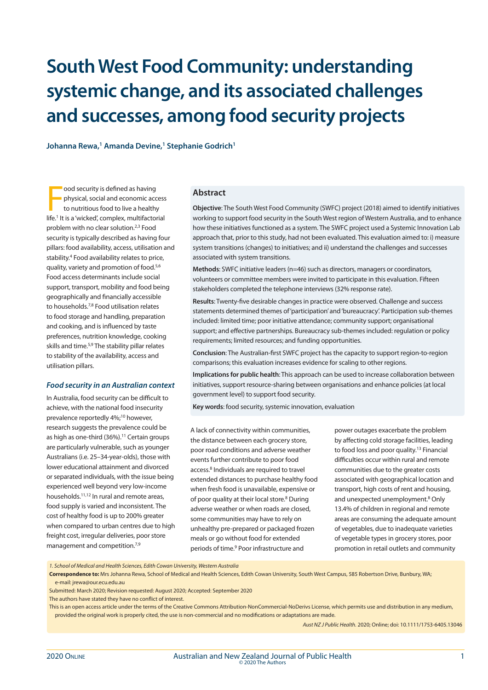# **South West Food Community: understanding systemic change, and its associated challenges and successes, among food security projects**

**Johanna Rewa,1 Amanda Devine,1 Stephanie Godrich1**

ood security is defined as having<br>physical, social and economic access<br>to nutritious food to live a healthy<br>life.<sup>1</sup> It is a 'wicked', complex, multifactorial ood security is defined as having physical, social and economic access to nutritious food to live a healthy problem with no clear solution.2,3 Food security is typically described as having four pillars: food availability, access, utilisation and stability.4 Food availability relates to price, quality, variety and promotion of food.5,6 Food access determinants include social support, transport, mobility and food being geographically and financially accessible to households.7,8 Food utilisation relates to food storage and handling, preparation and cooking, and is influenced by taste preferences, nutrition knowledge, cooking skills and time.5,9 The stability pillar relates to stability of the availability, access and utilisation pillars.

#### *Food security in an Australian context*

In Australia, food security can be difficult to achieve, with the national food insecurity prevalence reportedly 4%;<sup>10</sup> however, research suggests the prevalence could be as high as one-third (36%).<sup>11</sup> Certain groups are particularly vulnerable, such as younger Australians (i.e. 25–34-year-olds), those with lower educational attainment and divorced or separated individuals, with the issue being experienced well beyond very low-income households.11,12 In rural and remote areas, food supply is varied and inconsistent. The cost of healthy food is up to 200% greater when compared to urban centres due to high freight cost, irregular deliveries, poor store management and competition.<sup>7,9</sup>

#### **Abstract**

**Objective**: The South West Food Community (SWFC) project (2018) aimed to identify initiatives working to support food security in the South West region of Western Australia, and to enhance how these initiatives functioned as a system. The SWFC project used a Systemic Innovation Lab approach that, prior to this study, had not been evaluated. This evaluation aimed to: i) measure system transitions (changes) to initiatives; and ii) understand the challenges and successes associated with system transitions.

**Methods**: SWFC initiative leaders (n=46) such as directors, managers or coordinators, volunteers or committee members were invited to participate in this evaluation. Fifteen stakeholders completed the telephone interviews (32% response rate).

**Results**: Twenty-five desirable changes in practice were observed. Challenge and success statements determined themes of 'participation' and 'bureaucracy'. Participation sub-themes included: limited time; poor initiative attendance; community support; organisational support; and effective partnerships. Bureaucracy sub-themes included: regulation or policy requirements; limited resources; and funding opportunities.

**Conclusion**: The Australian-first SWFC project has the capacity to support region-to-region comparisons; this evaluation increases evidence for scaling to other regions.

**Implications for public health**: This approach can be used to increase collaboration between initiatives, support resource-sharing between organisations and enhance policies (at local government level) to support food security.

**Key words**: food security, systemic innovation, evaluation

A lack of connectivity within communities, the distance between each grocery store, poor road conditions and adverse weather events further contribute to poor food access.<sup>8</sup> Individuals are required to travel extended distances to purchase healthy food when fresh food is unavailable, expensive or of poor quality at their local store.<sup>8</sup> During adverse weather or when roads are closed, some communities may have to rely on unhealthy pre-prepared or packaged frozen meals or go without food for extended periods of time.<sup>9</sup> Poor infrastructure and

power outages exacerbate the problem by affecting cold storage facilities, leading to food loss and poor quality.<sup>13</sup> Financial difficulties occur within rural and remote communities due to the greater costs associated with geographical location and transport, high costs of rent and housing, and unexpected unemployment.<sup>8</sup> Only 13.4% of children in regional and remote areas are consuming the adequate amount of vegetables, due to inadequate varieties of vegetable types in grocery stores, poor promotion in retail outlets and community

*1. School of Medical and Health Sciences, Edith Cowan University, Western Australia*

**Correspondence to:** Mrs Johanna Rewa, School of Medical and Health Sciences, Edith Cowan University, South West Campus, 585 Robertson Drive, Bunbury, WA; e-mail: jrewa@our.ecu.edu.au

Submitted: March 2020; Revision requested: August 2020; Accepted: September 2020

The authors have stated they have no conflict of interest.

This is an open access article under the terms of the Creative Commons Attribution-NonCommercial-NoDerivs License, which permits use and distribution in any medium, provided the original work is properly cited, the use is non-commercial and no modifications or adaptations are made.

*Aust NZ J Public Health.* 2020; Online; doi: 10.1111/1753-6405.13046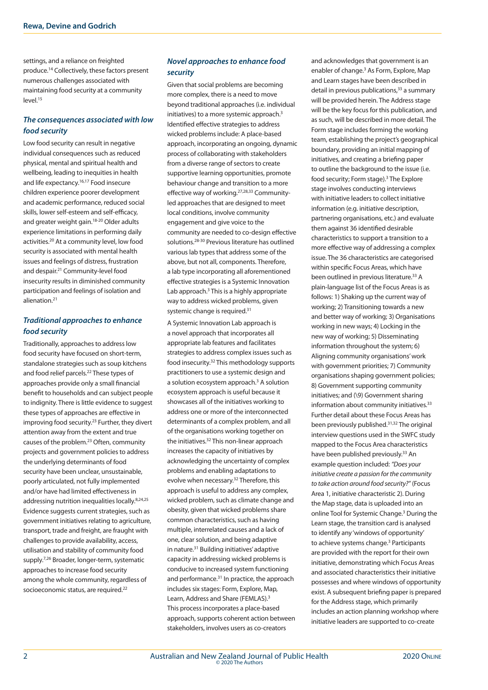settings, and a reliance on freighted produce.14 Collectively, these factors present numerous challenges associated with maintaining food security at a community level.15

## *The consequences associated with low food security*

Low food security can result in negative individual consequences such as reduced physical, mental and spiritual health and wellbeing, leading to inequities in health and life expectancy.16,17 Food insecure children experience poorer development and academic performance, reduced social skills, lower self-esteem and self-efficacy, and greater weight gain.18-20 Older adults experience limitations in performing daily activities.20 At a community level, low food security is associated with mental health issues and feelings of distress, frustration and despair.21 Community-level food insecurity results in diminished community participation and feelings of isolation and alienation.21

## *Traditional approaches to enhance food security*

Traditionally, approaches to address low food security have focused on short-term, standalone strategies such as soup kitchens and food relief parcels.<sup>22</sup> These types of approaches provide only a small financial benefit to households and can subject people to indignity. There is little evidence to suggest these types of approaches are effective in improving food security.23 Further, they divert attention away from the extent and true causes of the problem.23 Often, community projects and government policies to address the underlying determinants of food security have been unclear, unsustainable, poorly articulated, not fully implemented and/or have had limited effectiveness in addressing nutrition inequalities locally.8,24,25 Evidence suggests current strategies, such as government initiatives relating to agriculture, transport, trade and freight, are fraught with challenges to provide availability, access, utilisation and stability of community food supply.7,26 Broader, longer-term, systematic approaches to increase food security among the whole community, regardless of socioeconomic status, are required.22

## *Novel approaches to enhance food security*

Given that social problems are becoming more complex, there is a need to move beyond traditional approaches (i.e. individual initiatives) to a more systemic approach.<sup>3</sup> Identified effective strategies to address wicked problems include: A place-based approach, incorporating an ongoing, dynamic process of collaborating with stakeholders from a diverse range of sectors to create supportive learning opportunities, promote behaviour change and transition to a more effective way of working.27,28,33 Communityled approaches that are designed to meet local conditions, involve community engagement and give voice to the community are needed to co-design effective solutions.28-30 Previous literature has outlined various lab types that address some of the above, but not all, components. Therefore, a lab type incorporating all aforementioned effective strategies is a Systemic Innovation Lab approach.<sup>3</sup> This is a highly appropriate way to address wicked problems, given systemic change is required.<sup>31</sup>

A Systemic Innovation Lab approach is a novel approach that incorporates all appropriate lab features and facilitates strategies to address complex issues such as food insecurity.32 This methodology supports practitioners to use a systemic design and a solution ecosystem approach.<sup>3</sup> A solution ecosystem approach is useful because it showcases all of the initiatives working to address one or more of the interconnected determinants of a complex problem, and all of the organisations working together on the initiatives.<sup>32</sup> This non-linear approach increases the capacity of initiatives by acknowledging the uncertainty of complex problems and enabling adaptations to evolve when necessary.<sup>32</sup> Therefore, this approach is useful to address any complex, wicked problem, such as climate change and obesity, given that wicked problems share common characteristics, such as having multiple, interrelated causes and a lack of one, clear solution, and being adaptive in nature.31 Building initiatives' adaptive capacity in addressing wicked problems is conducive to increased system functioning and performance.<sup>31</sup> In practice, the approach includes six stages: Form, Explore, Map, Learn, Address and Share (FEMLAS).<sup>3</sup> This process incorporates a place-based approach, supports coherent action between stakeholders, involves users as co-creators

and acknowledges that government is an enabler of change.<sup>3</sup> As Form, Explore, Map and Learn stages have been described in detail in previous publications,<sup>33</sup> a summary will be provided herein. The Address stage will be the key focus for this publication, and as such, will be described in more detail. The Form stage includes forming the working team, establishing the project's geographical boundary, providing an initial mapping of initiatives, and creating a briefing paper to outline the background to the issue (i.e. food security; Form stage).<sup>3</sup> The Explore stage involves conducting interviews with initiative leaders to collect initiative information (e.g. initiative description, partnering organisations, etc.) and evaluate them against 36 identified desirable characteristics to support a transition to a more effective way of addressing a complex issue. The 36 characteristics are categorised within specific Focus Areas, which have been outlined in previous literature.<sup>33</sup> A plain-language list of the Focus Areas is as follows: 1) Shaking up the current way of working; 2) Transitioning towards a new and better way of working; 3) Organisations working in new ways; 4) Locking in the new way of working; 5) Disseminating information throughout the system; 6) Aligning community organisations' work with government priorities; 7) Community organisations shaping government policies; 8) Government supporting community initiatives; and (\9) Government sharing information about community initiatives.<sup>33</sup> Further detail about these Focus Areas has been previously published.<sup>31,32</sup> The original interview questions used in the SWFC study mapped to the Focus Area characteristics have been published previously.33 An example question included: *"Does your initiative create a passion for the community to take action around food security?"* (Focus Area 1, initiative characteristic 2). During the Map stage, data is uploaded into an online Tool for Systemic Change.<sup>3</sup> During the Learn stage, the transition card is analysed to identify any 'windows of opportunity' to achieve systems change.<sup>3</sup> Participants are provided with the report for their own initiative, demonstrating which Focus Areas and associated characteristics their initiative possesses and where windows of opportunity exist. A subsequent briefing paper is prepared for the Address stage, which primarily includes an action planning workshop where initiative leaders are supported to co-create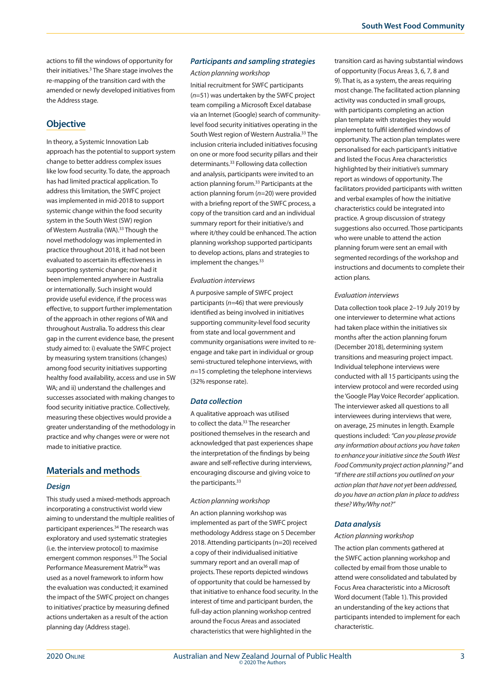actions to fill the windows of opportunity for their initiatives.<sup>3</sup> The Share stage involves the re-mapping of the transition card with the amended or newly developed initiatives from the Address stage.

## **Objective**

In theory, a Systemic Innovation Lab approach has the potential to support system change to better address complex issues like low food security. To date, the approach has had limited practical application. To address this limitation, the SWFC project was implemented in mid-2018 to support systemic change within the food security system in the South West (SW) region of Western Australia (WA).33 Though the novel methodology was implemented in practice throughout 2018, it had not been evaluated to ascertain its effectiveness in supporting systemic change; nor had it been implemented anywhere in Australia or internationally. Such insight would provide useful evidence, if the process was effective, to support further implementation of the approach in other regions of WA and throughout Australia. To address this clear gap in the current evidence base, the present study aimed to: i) evaluate the SWFC project by measuring system transitions (changes) among food security initiatives supporting healthy food availability, access and use in SW WA; and ii) understand the challenges and successes associated with making changes to food security initiative practice. Collectively, measuring these objectives would provide a greater understanding of the methodology in practice and why changes were or were not made to initiative practice.

## **Materials and methods**

#### *Design*

This study used a mixed-methods approach incorporating a constructivist world view aiming to understand the multiple realities of participant experiences.34 The research was exploratory and used systematic strategies (i.e. the interview protocol) to maximise emergent common responses.35 The Social Performance Measurement Matrix<sup>36</sup> was used as a novel framework to inform how the evaluation was conducted; it examined the impact of the SWFC project on changes to initiatives' practice by measuring defined actions undertaken as a result of the action planning day (Address stage).

#### *Participants and sampling strategies*

*Action planning workshop*

Initial recruitment for SWFC participants (*n*=51) was undertaken by the SWFC project team compiling a Microsoft Excel database via an Internet (Google) search of communitylevel food security initiatives operating in the South West region of Western Australia.<sup>33</sup> The inclusion criteria included initiatives focusing on one or more food security pillars and their determinants.33 Following data collection and analysis, participants were invited to an action planning forum.33 Participants at the action planning forum (*n=*20) were provided with a briefing report of the SWFC process, a copy of the transition card and an individual summary report for their initiative/s and where it/they could be enhanced. The action planning workshop supported participants to develop actions, plans and strategies to implement the changes.<sup>33</sup>

#### *Evaluation interviews*

A purposive sample of SWFC project participants (*n=*46) that were previously identified as being involved in initiatives supporting community-level food security from state and local government and community organisations were invited to reengage and take part in individual or group semi-structured telephone interviews, with *n=*15 completing the telephone interviews (32% response rate).

#### *Data collection*

A qualitative approach was utilised to collect the data.<sup>33</sup> The researcher positioned themselves in the research and acknowledged that past experiences shape the interpretation of the findings by being aware and self-reflective during interviews, encouraging discourse and giving voice to the participants.<sup>33</sup>

#### *Action planning workshop*

An action planning workshop was implemented as part of the SWFC project methodology Address stage on 5 December 2018. Attending participants (n=20) received a copy of their individualised initiative summary report and an overall map of projects. These reports depicted windows of opportunity that could be harnessed by that initiative to enhance food security. In the interest of time and participant burden, the full-day action planning workshop centred around the Focus Areas and associated characteristics that were highlighted in the

transition card as having substantial windows of opportunity (Focus Areas 3, 6, 7, 8 and 9). That is, as a system, the areas requiring most change. The facilitated action planning activity was conducted in small groups, with participants completing an action plan template with strategies they would implement to fulfil identified windows of opportunity. The action plan templates were personalised for each participant's initiative and listed the Focus Area characteristics highlighted by their initiative's summary report as windows of opportunity. The facilitators provided participants with written and verbal examples of how the initiative characteristics could be integrated into practice. A group discussion of strategy suggestions also occurred. Those participants who were unable to attend the action planning forum were sent an email with segmented recordings of the workshop and instructions and documents to complete their action plans.

#### *Evaluation interviews*

Data collection took place 2–19 July 2019 by one interviewer to determine what actions had taken place within the initiatives six months after the action planning forum (December 2018), determining system transitions and measuring project impact. Individual telephone interviews were conducted with all 15 participants using the interview protocol and were recorded using the 'Google Play Voice Recorder' application. The interviewer asked all questions to all interviewees during interviews that were, on average, 25 minutes in length. Example questions included: *"Can you please provide any information about actions you have taken to enhance your initiative since the South West Food Community project action planning?"* and "*If there are still actions you outlined on your action plan that have not yet been addressed, do you have an action plan in place to address these? Why/Why not?"*

#### *Data analysis*

#### *Action planning workshop*

The action plan comments gathered at the SWFC action planning workshop and collected by email from those unable to attend were consolidated and tabulated by Focus Area characteristic into a Microsoft Word document (Table 1). This provided an understanding of the key actions that participants intended to implement for each characteristic.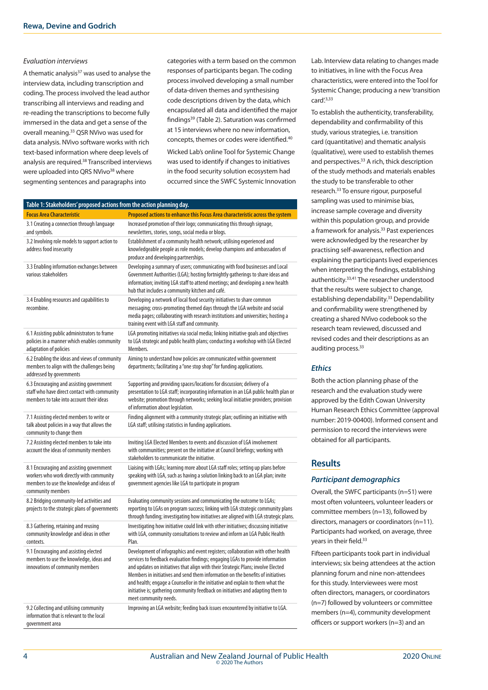#### *Evaluation interviews*

A thematic analysis<sup>37</sup> was used to analyse the interview data, including transcription and coding. The process involved the lead author transcribing all interviews and reading and re-reading the transcriptions to become fully immersed in the data and get a sense of the overall meaning.33 QSR NVivo was used for data analysis. NVivo software works with rich text-based information where deep levels of analysis are required.38 Transcribed interviews were uploaded into QRS NVivo<sup>38</sup> where segmenting sentences and paragraphs into

categories with a term based on the common responses of participants began. The coding process involved developing a small number of data-driven themes and synthesising code descriptions driven by the data, which encapsulated all data and identified the major findings39 (Table 2). Saturation was confirmed at 15 interviews where no new information, concepts, themes or codes were identified.40

Wicked Lab's online Tool for Systemic Change was used to identify if changes to initiatives in the food security solution ecosystem had occurred since the SWFC Systemic Innovation

| Table 1: Stakeholders' proposed actions from the action planning day.<br><b>Focus Area Characteristic</b>                                              | Proposed actions to enhance this Focus Area characteristic across the system                                                                                                                                                                                                                                                                                                                                                                                                                                                             |  |  |
|--------------------------------------------------------------------------------------------------------------------------------------------------------|------------------------------------------------------------------------------------------------------------------------------------------------------------------------------------------------------------------------------------------------------------------------------------------------------------------------------------------------------------------------------------------------------------------------------------------------------------------------------------------------------------------------------------------|--|--|
| 3.1 Creating a connection through language<br>and symbols.                                                                                             | Increased promotion of their logo; communicating this through signage,<br>newsletters, stories, songs, social media or blogs.                                                                                                                                                                                                                                                                                                                                                                                                            |  |  |
| 3.2 Involving role models to support action to<br>address food insecurity                                                                              | Establishment of a community health network; utilising experienced and<br>knowledgeable people as role models; develop champions and ambassadors of<br>produce and developing partnerships.                                                                                                                                                                                                                                                                                                                                              |  |  |
| 3.3 Enabling information exchanges between<br>various stakeholders                                                                                     | Developing a summary of users; communicating with food businesses and Local<br>Government Authorities (LGA); hosting fortnightly gatherings to share ideas and<br>information; inviting LGA staff to attend meetings; and developing a new health<br>hub that includes a community kitchen and café.                                                                                                                                                                                                                                     |  |  |
| 3.4 Enabling resources and capabilities to<br>recombine.                                                                                               | Developing a network of local food security initiatives to share common<br>messaging; cross-promoting themed days through the LGA website and social<br>media pages; collaborating with research institutions and universities; hosting a<br>training event with LGA staff and community.                                                                                                                                                                                                                                                |  |  |
| 6.1 Assisting public administrators to frame<br>policies in a manner which enables community<br>adaptation of policies                                 | LGA promoting initiatives via social media; linking initiative goals and objectives<br>to LGA strategic and public health plans; conducting a workshop with LGA Elected<br>Members.                                                                                                                                                                                                                                                                                                                                                      |  |  |
| 6.2 Enabling the ideas and views of community<br>members to align with the challenges being<br>addressed by governments                                | Aiming to understand how policies are communicated within government<br>departments; facilitating a "one stop shop" for funding applications.                                                                                                                                                                                                                                                                                                                                                                                            |  |  |
| 6.3 Encouraging and assisting government<br>staff who have direct contact with community<br>members to take into account their ideas                   | Supporting and providing spaces/locations for discussion; delivery of a<br>presentation to LGA staff; incorporating information in an LGA public health plan or<br>website; promotion through networks; seeking local initiative providers; provision<br>of information about legislation.                                                                                                                                                                                                                                               |  |  |
| 7.1 Assisting elected members to write or<br>talk about policies in a way that allows the<br>community to change them                                  | Finding alignment with a community strategic plan; outlining an initiative with<br>LGA staff; utilising statistics in funding applications.                                                                                                                                                                                                                                                                                                                                                                                              |  |  |
| 7.2 Assisting elected members to take into<br>account the ideas of community members                                                                   | Inviting LGA Elected Members to events and discussion of LGA involvement<br>with communities; present on the initiative at Council briefings; working with<br>stakeholders to communicate the initiative.                                                                                                                                                                                                                                                                                                                                |  |  |
| 8.1 Encouraging and assisting government<br>workers who work directly with community<br>members to use the knowledge and ideas of<br>community members | Liaising with LGAs; learning more about LGA staff roles; setting up plans before<br>speaking with LGA, such as having a solution linking back to an LGA plan; invite<br>government agencies like LGA to participate in program                                                                                                                                                                                                                                                                                                           |  |  |
| 8.2 Bridging community-led activities and<br>projects to the strategic plans of governments                                                            | Evaluating community sessions and communicating the outcome to LGAs;<br>reporting to LGAs on program success; linking with LGA strategic community plans<br>through funding; investigating how initiatives are aligned with LGA strategic plans.                                                                                                                                                                                                                                                                                         |  |  |
| 8.3 Gathering, retaining and reusing<br>community knowledge and ideas in other<br>contexts.                                                            | Investigating how initiative could link with other initiatives; discussing initiative<br>with LGA, community consultations to review and inform an LGA Public Health<br>Plan.                                                                                                                                                                                                                                                                                                                                                            |  |  |
| 9.1 Encouraging and assisting elected<br>members to use the knowledge, ideas and<br>innovations of community members                                   | Development of infographics and event registers; collaboration with other health<br>services to feedback evaluation findings; engaging LGAs to provide information<br>and updates on initiatives that align with their Strategic Plans; involve Elected<br>Members in initiatives and send them information on the benefits of initiatives<br>and health; engage a Counsellor in the initiative and explain to them what the<br>initiative is; gathering community feedback on initiatives and adapting them to<br>meet community needs. |  |  |
| 9.2 Collecting and utilising community<br>information that is relevant to the local<br>government area                                                 | Improving an LGA website; feeding back issues encountered by initiative to LGA.                                                                                                                                                                                                                                                                                                                                                                                                                                                          |  |  |

Lab. Interview data relating to changes made to initiatives, in line with the Focus Area characteristics, were entered into the Tool for Systemic Change; producing a new 'transition card $^{\prime}$ .3,33

To establish the authenticity, transferability, dependability and confirmability of this study, various strategies, i.e. transition card (quantitative) and thematic analysis (qualitative), were used to establish themes and perspectives.<sup>33</sup> A rich, thick description of the study methods and materials enables the study to be transferable to other research.33 To ensure rigour, purposeful sampling was used to minimise bias, increase sample coverage and diversity within this population group, and provide a framework for analysis.<sup>33</sup> Past experiences were acknowledged by the researcher by practising self-awareness, reflection and explaining the participants lived experiences when interpreting the findings, establishing authenticity.33,41 The researcher understood that the results were subject to change, establishing dependability.<sup>33</sup> Dependability and confirmability were strengthened by creating a shared NVivo codebook so the research team reviewed, discussed and revised codes and their descriptions as an auditing process.<sup>33</sup>

#### *Ethics*

Both the action planning phase of the research and the evaluation study were approved by the Edith Cowan University Human Research Ethics Committee (approval number: 2019-00400). Informed consent and permission to record the interviews were obtained for all participants.

## **Results**

#### *Participant demographics*

Overall, the SWFC participants (n*=*51) were most often volunteers, volunteer leaders or committee members (n=13), followed by directors, managers or coordinators (n=11). Participants had worked, on average, three years in their field.<sup>33</sup>

Fifteen participants took part in individual interviews; six being attendees at the action planning forum and nine non-attendees for this study. Interviewees were most often directors, managers, or coordinators (n=7) followed by volunteers or committee members (n=4), community development officers or support workers (n=3) and an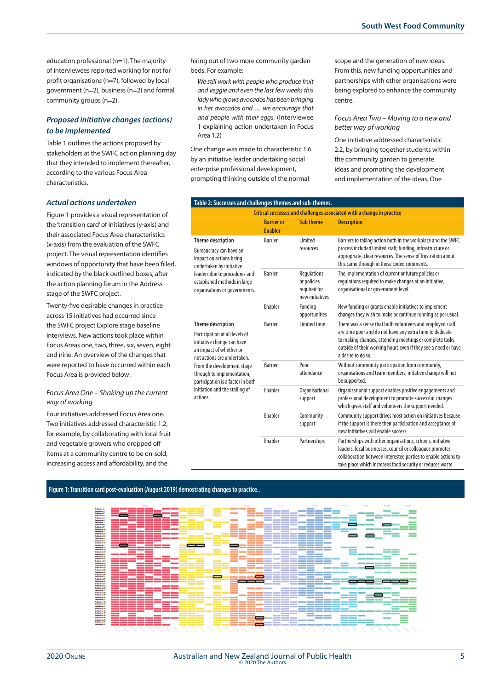education professional (n=1). The majority of interviewees reported working for not for profit organisations (n=7), followed by local government (n=2), business (n=2) and formal community groups (n=2).

## *Proposed initiative changes (actions) to be implemented*

Table 1 outlines the actions proposed by stakeholders at the SWFC action planning day that they intended to implement thereafter, according to the various Focus Area characteristics.

#### *Actual actions undertaken*

Figure 1 provides a visual representation of the 'transition card' of initiatives (y-axis) and their associated Focus Area characteristics (x-axis) from the evaluation of the SWFC project. The visual representation identifies windows of opportunity that have been filled, indicated by the black outlined boxes, after the action planning forum in the Address stage of the SWFC project.

Twenty-five desirable changes in practice across 15 initiatives had occurred since the SWFC project Explore stage baseline interviews. New actions took place within Focus Areas one, two, three, six, seven, eight and nine. An overview of the changes that were reported to have occurred within each Focus Area is provided below:

#### *Focus Area One – Shaking up the current way of working*

Four initiatives addressed Focus Area one. Two initiatives addressed characteristic 1.2, for example, by collaborating with local fruit and vegetable growers who dropped off items at a community centre to be on-sold, increasing access and affordability, and the

hiring out of two more community garden beds. For example:

*We still work with people who produce fruit and veggie and even the last few weeks this lady who grows avocados has been bringing in her avocados and … we encourage that and people with their eggs.* (Interviewee 1 explaining action undertaken in Focus Area 1.2)

One change was made to characteristic 1.6 by an initiative leader undertaking social enterprise professional development, prompting thinking outside of the normal

scope and the generation of new ideas. From this, new funding opportunities and partnerships with other organisations were being explored to enhance the community centre.

#### *Focus Area Two – Moving to a new and better way of working*

One initiative addressed characteristic 2.2, by bringing together students within the community garden to generate ideas and promoting the development and implementation of the ideas. One

| Table 2: Successes and challenges themes and sub-themes.                                                                                                                                                                                                                                          |                                     |                                                               |                                                                                                                                                                                                                                                                          |  |  |
|---------------------------------------------------------------------------------------------------------------------------------------------------------------------------------------------------------------------------------------------------------------------------------------------------|-------------------------------------|---------------------------------------------------------------|--------------------------------------------------------------------------------------------------------------------------------------------------------------------------------------------------------------------------------------------------------------------------|--|--|
| Critical successes and challenges associated with a change in practice                                                                                                                                                                                                                            |                                     |                                                               |                                                                                                                                                                                                                                                                          |  |  |
|                                                                                                                                                                                                                                                                                                   | <b>Barrier or</b><br><b>Enabler</b> | <b>Sub theme</b>                                              | <b>Description</b>                                                                                                                                                                                                                                                       |  |  |
| <b>Theme description</b><br>Bureaucracy can have an<br>impact on actions being<br>undertaken by initiative<br>leaders due to procedures and<br>established methods in large<br>organisations or governments.                                                                                      | <b>Barrier</b>                      | Limited<br>resources                                          | Barriers to taking action both in the workplace and the SWFC<br>process included limited staff, funding, infrastructure or<br>appropriate, clear resources. The sense of frustration about<br>this came through in these coded comments.                                 |  |  |
|                                                                                                                                                                                                                                                                                                   | <b>Barrier</b>                      | Regulations<br>or policies<br>required for<br>new initiatives | The implementation of current or future policies or<br>regulations required to make changes at an initiative,<br>organisational or government level.                                                                                                                     |  |  |
|                                                                                                                                                                                                                                                                                                   | Enabler                             | Funding<br>opportunities                                      | New funding or grants enable initiatives to implement<br>changes they wish to make or continue running as per usual.                                                                                                                                                     |  |  |
| <b>Theme description</b><br>Participation at all levels of<br>initiative change can have<br>an impact of whether or<br>not actions are undertaken.<br>From the development stage<br>through to implementation,<br>participation is a factor in both<br>initiation and the stalling of<br>actions. | <b>Barrier</b>                      | Limited time                                                  | There was a sense that both volunteers and employed staff<br>are time poor and do not have any extra time to dedicate<br>to making changes, attending meetings or complete tasks<br>outside of their working hours even if they see a need or have<br>a desire to do so. |  |  |
|                                                                                                                                                                                                                                                                                                   | <b>Barrier</b>                      | Poor<br>attendance                                            | Without community participation from community,<br>organisations and team members, initative change will not<br>be supported.                                                                                                                                            |  |  |
|                                                                                                                                                                                                                                                                                                   | Enabler                             | Organisational<br>support                                     | Organisational support enables positive engagements and<br>professional development to promote successful changes<br>which gives staff and volunteers the support needed.                                                                                                |  |  |
|                                                                                                                                                                                                                                                                                                   | Enabler                             | Community<br>support                                          | Community support drives most action on initiatives because<br>if the support is there then participation and acceptance of<br>new initiatives will enable success.                                                                                                      |  |  |
|                                                                                                                                                                                                                                                                                                   | Enabler                             | Partnerships                                                  | Partnerships with other organisations, schools, initiative<br>leaders, local businesses, council or colleagues promotes<br>collaboration between interested parties to enable actions to<br>take place which increases food security or reduces waste.                   |  |  |

#### **Figure 1: Transition card post-evaluation (August 2019) demostrating changes to practice..**



İ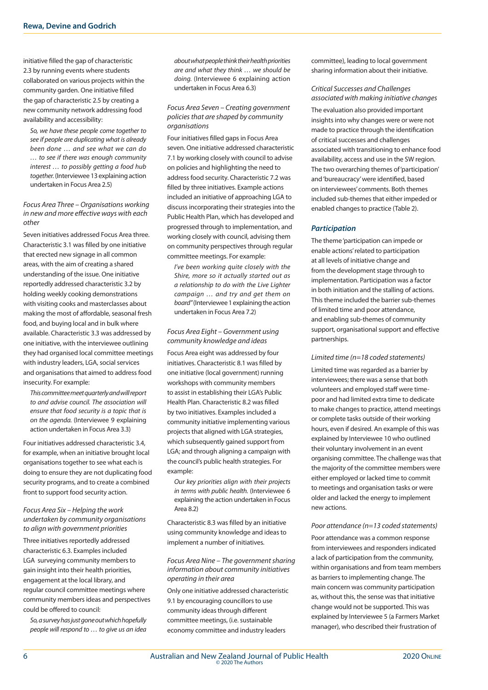initiative filled the gap of characteristic 2.3 by running events where students collaborated on various projects within the community garden. One initiative filled the gap of characteristic 2.5 by creating a new community network addressing food availability and accessibility:

*So, we have these people come together to see if people are duplicating what is already been done … and see what we can do … to see if there was enough community interest … to possibly getting a food hub together.* (Interviewee 13 explaining action undertaken in Focus Area 2.5)

#### *Focus Area Three – Organisations working in new and more effective ways with each other*

Seven initiatives addressed Focus Area three. Characteristic 3.1 was filled by one initiative that erected new signage in all common areas, with the aim of creating a shared understanding of the issue. One initiative reportedly addressed characteristic 3.2 by holding weekly cooking demonstrations with visiting cooks and masterclasses about making the most of affordable, seasonal fresh food, and buying local and in bulk where available. Characteristic 3.3 was addressed by one initiative, with the interviewee outlining they had organised local committee meetings with industry leaders, LGA, social services and organisations that aimed to address food insecurity. For example:

*This committee meet quarterly and will report to and advise council. The association will ensure that food security is a topic that is on the agenda.* (Interviewee 9 explaining action undertaken in Focus Area 3.3)

Four initiatives addressed characteristic 3.4, for example, when an initiative brought local organisations together to see what each is doing to ensure they are not duplicating food security programs, and to create a combined front to support food security action.

#### *Focus Area Six – Helping the work undertaken by community organisations to align with government priorities*

Three initiatives reportedly addressed characteristic 6.3. Examples included LGA surveying community members to gain insight into their health priorities, engagement at the local library, and regular council committee meetings where community members ideas and perspectives could be offered to council:

*So, a survey has just gone out which hopefully people will respond to … to give us an idea*  *about what people think their health priorities are and what they think … we should be doing.* (Interviewee 6 explaining action undertaken in Focus Area 6.3)

#### *Focus Area Seven – Creating government policies that are shaped by community organisations*

Four initiatives filled gaps in Focus Area seven. One initiative addressed characteristic 7.1 by working closely with council to advise on policies and highlighting the need to address food security. Characteristic 7.2 was filled by three initiatives. Example actions included an initiative of approaching LGA to discuss incorporating their strategies into the Public Health Plan, which has developed and progressed through to implementation, and working closely with council, advising them on community perspectives through regular committee meetings. For example:

*I've been working quite closely with the Shire, more so it actually started out as a relationship to do with the Live Lighter campaign … and try and get them on board"* (Interviewee 1 explaining the action undertaken in Focus Area 7.2)

#### *Focus Area Eight – Government using community knowledge and ideas*

Focus Area eight was addressed by four initiatives. Characteristic 8.1 was filled by one initiative (local government) running workshops with community members to assist in establishing their LGA's Public Health Plan. Characteristic 8.2 was filled by two initiatives. Examples included a community initiative implementing various projects that aligned with LGA strategies, which subsequently gained support from LGA; and through aligning a campaign with the council's public health strategies. For example:

*Our key priorities align with their projects in terms with public health.* (Interviewee 6 explaining the action undertaken in Focus Area 8.2)

Characteristic 8.3 was filled by an initiative using community knowledge and ideas to implement a number of initiatives.

#### *Focus Area Nine – The government sharing information about community initiatives operating in their area*

Only one initiative addressed characteristic 9.1 by encouraging councillors to use community ideas through different committee meetings, (i.e. sustainable economy committee and industry leaders

committee), leading to local government sharing information about their initiative.

#### *Critical Successes and Challenges associated with making initiative changes*

The evaluation also provided important insights into why changes were or were not made to practice through the identification of critical successes and challenges associated with transitioning to enhance food availability, access and use in the SW region. The two overarching themes of 'participation' and 'bureaucracy' were identified, based on interviewees' comments. Both themes included sub-themes that either impeded or enabled changes to practice (Table 2).

## *Participation*

The theme 'participation can impede or enable actions' related to participation at all levels of initiative change and from the development stage through to implementation. Participation was a factor in both initiation and the stalling of actions. This theme included the barrier sub-themes of limited time and poor attendance, and enabling sub-themes of community support, organisational support and effective partnerships.

#### *Limited time (n=18 coded statements)*

Limited time was regarded as a barrier by interviewees; there was a sense that both volunteers and employed staff were timepoor and had limited extra time to dedicate to make changes to practice, attend meetings or complete tasks outside of their working hours, even if desired. An example of this was explained by Interviewee 10 who outlined their voluntary involvement in an event organising committee. The challenge was that the majority of the committee members were either employed or lacked time to commit to meetings and organisation tasks or were older and lacked the energy to implement new actions.

#### *Poor attendance (n=13 coded statements)*

Poor attendance was a common response from interviewees and responders indicated a lack of participation from the community, within organisations and from team members as barriers to implementing change. The main concern was community participation as, without this, the sense was that initiative change would not be supported. This was explained by Interviewee 5 (a Farmers Market manager), who described their frustration of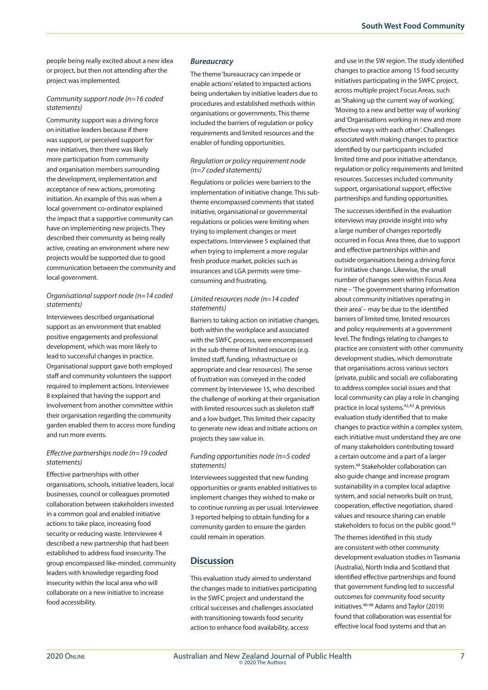people being really excited about a new idea or project, but then not attending after the project was implemented.

#### *Community support node (n=16 coded statements)*

Community support was a driving force on initiative leaders because if there was support, or perceived support for new initiatives, then there was likely more participation from community and organisation members surrounding the development, implementation and acceptance of new actions, promoting initiation. An example of this was when a local government co-ordinator explained the impact that a supportive community can have on implementing new projects. They described their community as being really active, creating an environment where new projects would be supported due to good communication between the community and local government.

## *Organisational support node (n=14 coded statements)*

Interviewees described organisational support as an environment that enabled positive engagements and professional development, which was more likely to lead to successful changes in practice. Organisational support gave both employed staff and community volunteers the support required to implement actions. Interviewee 8 explained that having the support and involvement from another committee within their organisation regarding the community garden enabled them to access more funding and run more events.

## *Effective partnerships node (n=19 coded statements)*

Effective partnerships with other organisations, schools, initiative leaders, local businesses, council or colleagues promoted collaboration between stakeholders invested in a common goal and enabled initiative actions to take place, increasing food security or reducing waste. Interviewee 4 described a new partnership that had been established to address food insecurity. The group encompassed like-minded, community leaders with knowledge regarding food insecurity within the local area who will collaborate on a new initiative to increase food accessibility.

#### *Bureaucracy*

The theme 'bureaucracy can impede or enable actions' related to impacted actions being undertaken by initiative leaders due to procedures and established methods within organisations or governments. This theme included the barriers of regulation or policy requirements and limited resources and the enabler of funding opportunities.

#### *Regulation or policy requirement node (n=7 coded statements)*

Regulations or policies were barriers to the implementation of initiative change. This subtheme encompassed comments that stated initiative, organisational or governmental regulations or policies were limiting when trying to implement changes or meet expectations. Interviewee 5 explained that when trying to implement a more regular fresh produce market, policies such as insurances and LGA permits were timeconsuming and frustrating.

#### *Limited resources node (n=14 coded statements)*

Barriers to taking action on initiative changes, both within the workplace and associated with the SWFC process, were encompassed in the sub-theme of limited resources (e.g. limited staff, funding, infrastructure or appropriate and clear resources). The sense of frustration was conveyed in the coded comment by Interviewee 15, who described the challenge of working at their organisation with limited resources such as skeleton staff and a low budget. This limited their capacity to generate new ideas and initiate actions on projects they saw value in.

#### *Funding opportunities node (n=5 coded statements)*

Interviewees suggested that new funding opportunities or grants enabled initiatives to implement changes they wished to make or to continue running as per usual. Interviewee 3 reported helping to obtain funding for a community garden to ensure the garden could remain in operation.

## **Discussion**

This evaluation study aimed to understand the changes made to initiatives participating in the SWFC project and understand the critical successes and challenges associated with transitioning towards food security action to enhance food availability, access

and use in the SW region. The study identified changes to practice among 15 food security initiatives participating in the SWFC project, across multiple project Focus Areas, such as 'Shaking up the current way of working', 'Moving to a new and better way of working' and 'Organisations working in new and more effective ways with each other'. Challenges associated with making changes to practice identified by our participants included limited time and poor initiative attendance, regulation or policy requirements and limited resources. Successes included community support, organisational support, effective partnerships and funding opportunities.

The successes identified in the evaluation interviews may provide insight into why a large number of changes reportedly occurred in Focus Area three, due to support and effective partnerships within and outside organisations being a driving force for initiative change. Likewise, the small number of changes seen within Focus Area nine – 'The government sharing information about community initiatives operating in their area' – may be due to the identified barriers of limited time, limited resources and policy requirements at a government level. The findings relating to changes to practice are consistent with other community development studies, which demonstrate that organisations across various sectors (private, public and social) are collaborating to address complex social issues and that local community can play a role in changing practice in local systems.42,43 A previous evaluation study identified that to make changes to practice within a complex system, each initiative must understand they are one of many stakeholders contributing toward a certain outcome and a part of a larger system.44 Stakeholder collaboration can also guide change and increase program sustainability in a complex local adaptive system, and social networks built on trust, cooperation, effective negotiation, shared values and resource sharing can enable stakeholders to focus on the public good.<sup>45</sup>

The themes identified in this study are consistent with other community development evaluation studies in Tasmania (Australia), North India and Scotland that identified effective partnerships and found that government funding led to successful outcomes for community food security initiatives.46-48 Adams and Taylor (2019) found that collaboration was essential for effective local food systems and that an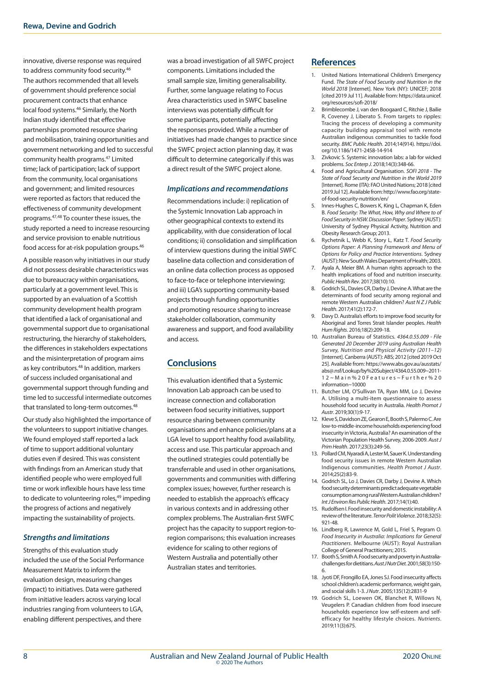innovative, diverse response was required to address community food security.46 The authors recommended that all levels of government should preference social procurement contracts that enhance local food systems.46 Similarly, the North Indian study identified that effective partnerships promoted resource sharing and mobilisation, training opportunities and government networking and led to successful community health programs.47 Limited time; lack of participation; lack of support from the community, local organisations and government; and limited resources were reported as factors that reduced the effectiveness of community development programs.47,48 To counter these issues, the study reported a need to increase resourcing and service provision to enable nutritious food access for at-risk population groups.46

A possible reason why initiatives in our study did not possess desirable characteristics was due to bureaucracy within organisations, particularly at a government level. This is supported by an evaluation of a Scottish community development health program that identified a lack of organisational and governmental support due to organisational restructuring, the hierarchy of stakeholders, the differences in stakeholders expectations and the misinterpretation of program aims as key contributors.48 In addition, markers of success included organisational and governmental support through funding and time led to successful intermediate outcomes that translated to long-term outcomes.<sup>48</sup>

Our study also highlighted the importance of the volunteers to support initiative changes. We found employed staff reported a lack of time to support additional voluntary duties even if desired. This was consistent with findings from an American study that identified people who were employed full time or work inflexible hours have less time to dedicate to volunteering roles,<sup>49</sup> impeding the progress of actions and negatively impacting the sustainability of projects.

## *Strengths and limitations*

Strengths of this evaluation study included the use of the Social Performance Measurement Matrix to inform the evaluation design, measuring changes (impact) to initiatives. Data were gathered from initiative leaders across varying local industries ranging from volunteers to LGA, enabling different perspectives, and there

was a broad investigation of all SWFC project components. Limitations included the small sample size, limiting generalisability. Further, some language relating to Focus Area characteristics used in SWFC baseline interviews was potentially difficult for some participants, potentially affecting the responses provided. While a number of initiatives had made changes to practice since the SWFC project action planning day, it was difficult to determine categorically if this was a direct result of the SWFC project alone.

#### *Implications and recommendations*

Recommendations include: i) replication of the Systemic Innovation Lab approach in other geographical contexts to extend its applicability, with due consideration of local conditions; ii) consolidation and simplification of interview questions during the initial SWFC baseline data collection and consideration of an online data collection process as opposed to face-to-face or telephone interviewing; and iii) LGA's supporting community-based projects through funding opportunities and promoting resource sharing to increase stakeholder collaboration, community awareness and support, and food availability and access.

## **Conclusions**

This evaluation identified that a Systemic Innovation Lab approach can be used to increase connection and collaboration between food security initiatives, support resource sharing between community organisations and enhance policies/plans at a LGA level to support healthy food availability, access and use. This particular approach and the outlined strategies could potentially be transferrable and used in other organisations, governments and communities with differing complex issues; however, further research is needed to establish the approach's efficacy in various contexts and in addressing other complex problems. The Australian-first SWFC project has the capacity to support region-toregion comparisons; this evaluation increases evidence for scaling to other regions of Western Australia and potentially other Australian states and territories.

## **References**

- 1. United Nations International Children's Emergency Fund. *The State of Food Security and Nutrition in the World 2018* [Internet]. New York (NY): UNICEF; 2018 [cited 2019 Jul 11]. Available from: https://data.unicef. org/resources/sofi-2018/
- 2. Brimblecombe J, van den Boogaard C, Ritchie J, Bailie R, Coveney J, Liberato S. From targets to ripples: Tracing the process of developing a community capacity building appraisal tool with remote Australian indigenous communities to tackle food security. *BMC Public Health*. 2014;14(914). https://doi. org/10.1186/1471-2458-14-914
- 3. Zivkovic S. Systemic innovation labs: a lab for wicked problems. *Soc Enterp J*. 2018;14(3):348-66.
- 4. Food and Agricultural Organisation. *SOFI 2018 The State of Food Security and Nutrition in the World 2019* [Internet]. Rome (ITA): FAO United Nations; 2018 [cited 2019 Jul 12]. Available from: http://www.fao.org/stateof-food-security-nutrition/en/
- 5. Innes-Hughes C, Bowers K, King L, Chapman K, Eden B. *Food Security: The What, How, Why and Where to of Food Security in NSW. Discussion Paper*. Sydney (AUST): University of Sydney Physical Activity, Nutrition and Obesity Research Group; 2013.
- 6. Rychetnik L, Webb K, Story L, Katz T. *Food Security Options Paper: A Planning Framework and Menu of Options for Policy and Practice Interventions*. Sydney (AUST): New South Wales Department of Health; 2003.
- 7. Ayala A, Meier BM. A human rights approach to the health implications of food and nutrition insecurity. *Public Health Rev*. 2017;38(10):10.
- 8. Godrich SL, Davies CR, Darby J, Devine A. What are the determinants of food security among regional and remote Western Australian children? *Aust N Z J Public Health*. 2017;41(2):172-7.
- 9. Davy D. Australia's efforts to improve food security for Aboriginal and Torres Strait Islander peoples. *Health Hum Rights*. 2016;18(2):209-18.
- 10. Australian Bureau of Statistics*. 4364.0.55.009 File Generated 20 December 2019 using Australian Health Survey, Nutrition and Physical Activity (2011–12)* [Internet]. Canberra (AUST): ABS; 2012 [cited 2019 Oct 25]. Available from: https://www.abs.gov.au/ausstats/ abs@.nsf/Lookup/by%20Subject/4364.0.55.009~2011- 12~Main%20Features~Further%20 information~10000
- 11. Butcher LM, O'Sullivan TA, Ryan MM, Lo J, Devine A. Utilising a multi-item questionnaire to assess household food security in Australia. *Health Promot J Austr*. 2019;30(1):9-17.
- 12. Kleve S, Davidson ZE, Gearon E, Booth S, Palermo C. Are low-to-middle-income households experiencing food insecurity in Victoria, Australia? An examination of the Victorian Population Health Survey, 2006-2009. *Aust J Prim Health*. 2017;23(3):249-56.
- 13. Pollard CM, Nyaradi A, Lester M, Sauer K. Understanding food security issues in remote Western Australian Indigenous communities. *Health Promot J Austr*. 2014;25(2):83-9.
- 14. Godrich SL, Lo J, Davies CR, Darby J, Devine A. Which food security determinants predict adequate vegetable consumption among rural Western Australian children? *Int J Environ Res Public Health*. 2017;14(1):40.
- 15. Rudolfsen I. Food insecurity and domestic instability: A review of the literature. *Terror Polit Violence*. 2018;32(5): 921-48.
- 16. Lindberg R, Lawrence M, Gold L, Friel S, Pegram O. *Food Insecurity in Australia: Implications for General Practitioners*. Melbourne (AUST): Royal Australian College of General Practitioners; 2015.
- 17. Booth S, Smith A. Food security and poverty in Australiachallenges for dietitians. *Aust J Nutr Diet.* 2001;58(3):150- 6.
- 18. Jyoti DF, Frongillo EA, Jones SJ. Food insecurity affects school children's academic performance, weight gain, and social skills 1-3. *J Nutr*. 2005;135(12):2831-9
- 19. Godrich SL, Loewen OK, Blanchet R, Willows N, Veugelers P. Canadian children from food insecure households experience low self-esteem and selfefficacy for healthy lifestyle choices. *Nutrients*. 2019;11(3):675.